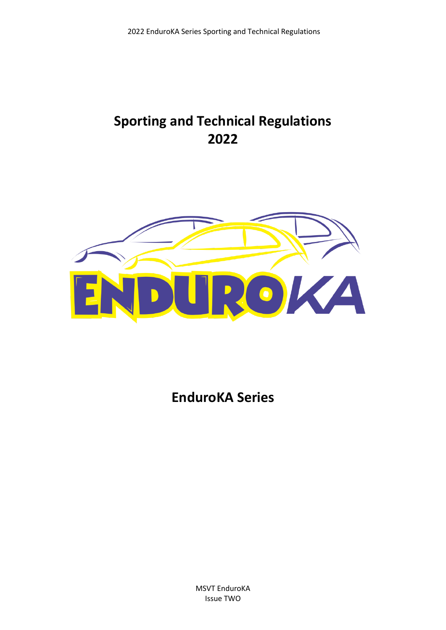# **Sporting and Technical Regulations 2022**



**EnduroKA Series**

MSVT EnduroKA Issue TWO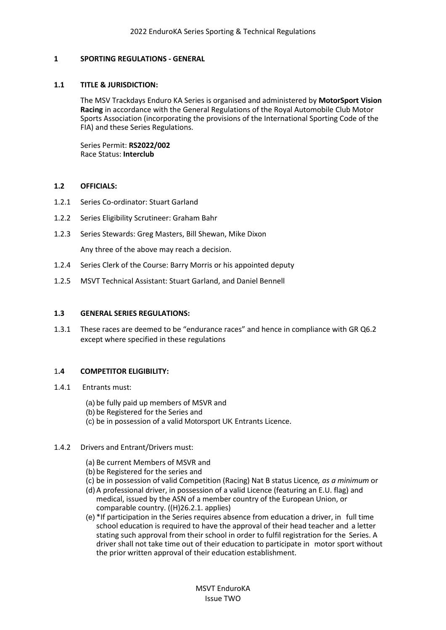## **1 SPORTING REGULATIONS - GENERAL**

## **1.1 TITLE & JURISDICTION:**

The MSV Trackdays Enduro KA Series is organised and administered by **MotorSport Vision Racing** in accordance with the General Regulations of the Royal Automobile Club Motor Sports Association (incorporating the provisions of the International Sporting Code of the FIA) and these Series Regulations.

Series Permit: **RS2022/002** Race Status: **Interclub**

## **1.2 OFFICIALS:**

- 1.2.1 Series Co-ordinator: Stuart Garland
- 1.2.2 Series Eligibility Scrutineer: Graham Bahr
- 1.2.3 Series Stewards: Greg Masters, Bill Shewan, Mike Dixon

Any three of the above may reach a decision.

- 1.2.4 Series Clerk of the Course: Barry Morris or his appointed deputy
- 1.2.5 MSVT Technical Assistant: Stuart Garland, and Daniel Bennell

## **1.3 GENERAL SERIES REGULATIONS:**

1.3.1 These races are deemed to be "endurance races" and hence in compliance with GR Q6.2 except where specified in these regulations

## 1**.4 COMPETITOR ELIGIBILITY:**

- 1.4.1 Entrants must:
	- (a) be fully paid up members of MSVR and
	- (b) be Registered for the Series and
	- (c) be in possession of a valid Motorsport UK Entrants Licence.

## 1.4.2 Drivers and Entrant/Drivers must:

- (a) Be current Members of MSVR and
- (b) be Registered for the series and
- (c) be in possession of valid Competition (Racing) Nat B status Licence*, as a minimum* or
- (d)A professional driver, in possession of a valid Licence (featuring an E.U. flag) and medical, issued by the ASN of a member country of the European Union, or comparable country. ((H)26.2.1. applies)
- (e) \*If participation in the Series requires absence from education a driver, in full time school education is required to have the approval of their head teacher and a letter stating such approval from their school in order to fulfil registration for the Series. A driver shall not take time out of their education to participate in motor sport without the prior written approval of their education establishment.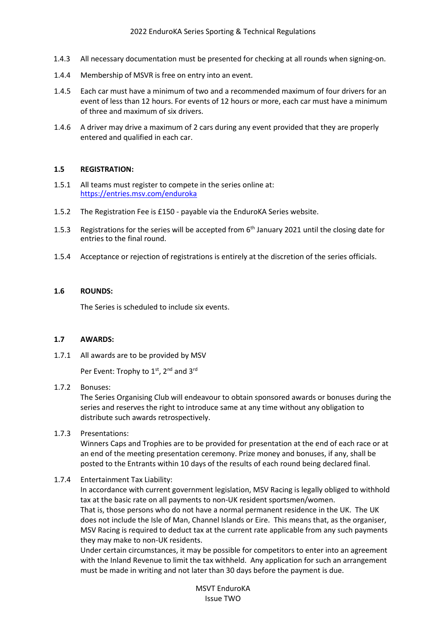- 1.4.3 All necessary documentation must be presented for checking at all rounds when signing-on.
- 1.4.4 Membership of MSVR is free on entry into an event.
- 1.4.5 Each car must have a minimum of two and a recommended maximum of four drivers for an event of less than 12 hours. For events of 12 hours or more, each car must have a minimum of three and maximum of six drivers.
- 1.4.6 A driver may drive a maximum of 2 cars during any event provided that they are properly entered and qualified in each car.

#### **1.5 REGISTRATION:**

- 1.5.1 All teams must register to compete in the series online at: <https://entries.msv.com/enduroka>
- 1.5.2 The Registration Fee is £150 payable via the EnduroKA Series website.
- 1.5.3 Registrations for the series will be accepted from 6<sup>th</sup> January 2021 until the closing date for entries to the final round.
- 1.5.4 Acceptance or rejection of registrations is entirely at the discretion of the series officials.

## **1.6 ROUNDS:**

The Series is scheduled to include six events.

#### **1.7 AWARDS:**

1.7.1 All awards are to be provided by MSV

Per Event: Trophy to 1<sup>st</sup>, 2<sup>nd</sup> and 3<sup>rd</sup>

## 1.7.2 Bonuses:

The Series Organising Club will endeavour to obtain sponsored awards or bonuses during the series and reserves the right to introduce same at any time without any obligation to distribute such awards retrospectively.

## 1.7.3 Presentations:

Winners Caps and Trophies are to be provided for presentation at the end of each race or at an end of the meeting presentation ceremony. Prize money and bonuses, if any, shall be posted to the Entrants within 10 days of the results of each round being declared final.

## 1.7.4 Entertainment Tax Liability:

In accordance with current government legislation, MSV Racing is legally obliged to withhold tax at the basic rate on all payments to non-UK resident sportsmen/women. That is, those persons who do not have a normal permanent residence in the UK. The UK does not include the Isle of Man, Channel Islands or Eire. This means that, as the organiser, MSV Racing is required to deduct tax at the current rate applicable from any such payments they may make to non-UK residents.

Under certain circumstances, it may be possible for competitors to enter into an agreement with the Inland Revenue to limit the tax withheld. Any application for such an arrangement must be made in writing and not later than 30 days before the payment is due.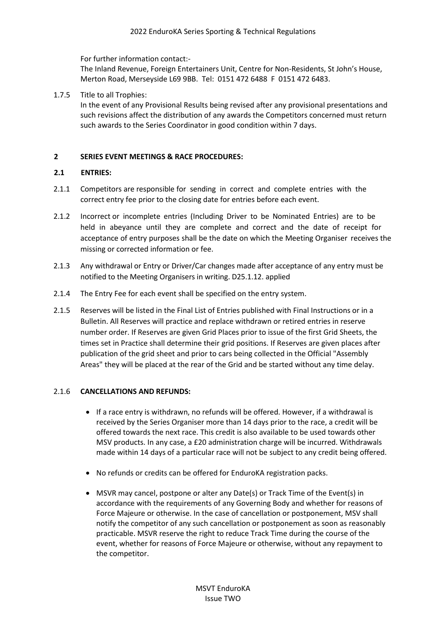For further information contact:-

The Inland Revenue, Foreign Entertainers Unit, Centre for Non-Residents, St John's House, Merton Road, Merseyside L69 9BB. Tel: 0151 472 6488 F 0151 472 6483.

1.7.5 Title to all Trophies:

In the event of any Provisional Results being revised after any provisional presentations and such revisions affect the distribution of any awards the Competitors concerned must return such awards to the Series Coordinator in good condition within 7 days.

# **2 SERIES EVENT MEETINGS & RACE PROCEDURES:**

# **2.1 ENTRIES:**

- 2.1.1 Competitors are responsible for sending in correct and complete entries with the correct entry fee prior to the closing date for entries before each event.
- 2.1.2 Incorrect or incomplete entries (Including Driver to be Nominated Entries) are to be held in abeyance until they are complete and correct and the date of receipt for acceptance of entry purposes shall be the date on which the Meeting Organiser receives the missing or corrected information or fee.
- 2.1.3 Any withdrawal or Entry or Driver/Car changes made after acceptance of any entry must be notified to the Meeting Organisers in writing. D25.1.12. applied
- 2.1.4 The Entry Fee for each event shall be specified on the entry system.
- 2.1.5 Reserves will be listed in the Final List of Entries published with Final Instructions or in a Bulletin. All Reserves will practice and replace withdrawn or retired entries in reserve number order. If Reserves are given Grid Places prior to issue of the first Grid Sheets, the times set in Practice shall determine their grid positions. If Reserves are given places after publication of the grid sheet and prior to cars being collected in the Official "Assembly Areas" they will be placed at the rear of the Grid and be started without any time delay.

# 2.1.6 **CANCELLATIONS AND REFUNDS:**

- If a race entry is withdrawn, no refunds will be offered. However, if a withdrawal is received by the Series Organiser more than 14 days prior to the race, a credit will be offered towards the next race. This credit is also available to be used towards other MSV products. In any case, a £20 administration charge will be incurred. Withdrawals made within 14 days of a particular race will not be subject to any credit being offered.
- No refunds or credits can be offered for EnduroKA registration packs.
- MSVR may cancel, postpone or alter any Date(s) or Track Time of the Event(s) in accordance with the requirements of any Governing Body and whether for reasons of Force Majeure or otherwise. In the case of cancellation or postponement, MSV shall notify the competitor of any such cancellation or postponement as soon as reasonably practicable. MSVR reserve the right to reduce Track Time during the course of the event, whether for reasons of Force Majeure or otherwise, without any repayment to the competitor.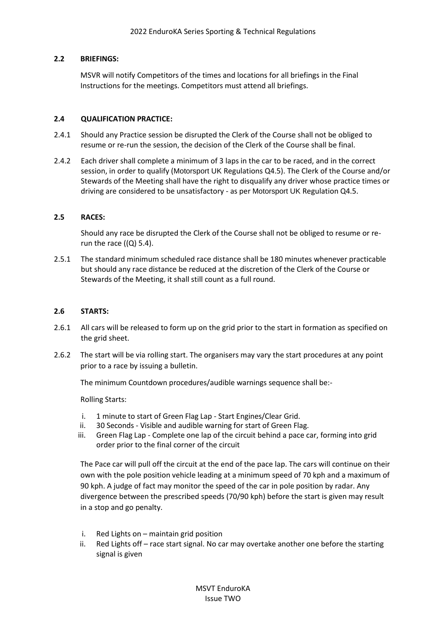## **2.2 BRIEFINGS:**

MSVR will notify Competitors of the times and locations for all briefings in the Final Instructions for the meetings. Competitors must attend all briefings.

## **2.4 QUALIFICATION PRACTICE:**

- 2.4.1 Should any Practice session be disrupted the Clerk of the Course shall not be obliged to resume or re-run the session, the decision of the Clerk of the Course shall be final.
- 2.4.2 Each driver shall complete a minimum of 3 laps in the car to be raced, and in the correct session, in order to qualify (Motorsport UK Regulations Q4.5). The Clerk of the Course and/or Stewards of the Meeting shall have the right to disqualify any driver whose practice times or driving are considered to be unsatisfactory - as per Motorsport UK Regulation Q4.5.

## **2.5 RACES:**

Should any race be disrupted the Clerk of the Course shall not be obliged to resume or rerun the race  $((Q)$  5.4).

2.5.1 The standard minimum scheduled race distance shall be 180 minutes whenever practicable but should any race distance be reduced at the discretion of the Clerk of the Course or Stewards of the Meeting, it shall still count as a full round.

## **2.6 STARTS:**

- 2.6.1 All cars will be released to form up on the grid prior to the start in formation as specified on the grid sheet.
- 2.6.2 The start will be via rolling start. The organisers may vary the start procedures at any point prior to a race by issuing a bulletin.

The minimum Countdown procedures/audible warnings sequence shall be:-

Rolling Starts:

- i. 1 minute to start of Green Flag Lap Start Engines/Clear Grid.
- ii. 30 Seconds Visible and audible warning for start of Green Flag.
- iii. Green Flag Lap Complete one lap of the circuit behind a pace car, forming into grid order prior to the final corner of the circuit

The Pace car will pull off the circuit at the end of the pace lap. The cars will continue on their own with the pole position vehicle leading at a minimum speed of 70 kph and a maximum of 90 kph. A judge of fact may monitor the speed of the car in pole position by radar. Any divergence between the prescribed speeds (70/90 kph) before the start is given may result in a stop and go penalty.

- i. Red Lights on maintain grid position
- ii. Red Lights off race start signal. No car may overtake another one before the starting signal is given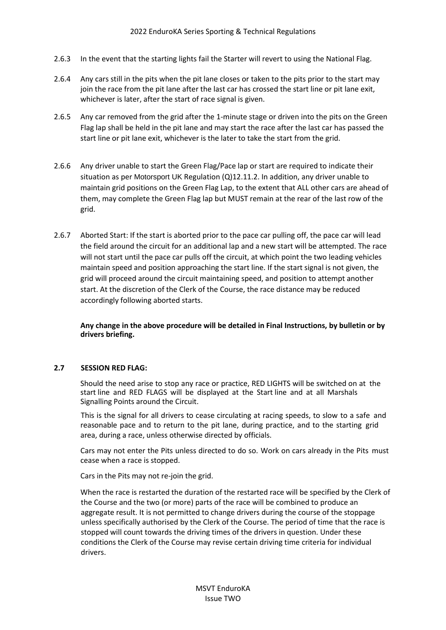- 2.6.3 In the event that the starting lights fail the Starter will revert to using the National Flag.
- 2.6.4 Any cars still in the pits when the pit lane closes or taken to the pits prior to the start may join the race from the pit lane after the last car has crossed the start line or pit lane exit, whichever is later, after the start of race signal is given.
- 2.6.5 Any car removed from the grid after the 1-minute stage or driven into the pits on the Green Flag lap shall be held in the pit lane and may start the race after the last car has passed the start line or pit lane exit, whichever is the later to take the start from the grid.
- 2.6.6 Any driver unable to start the Green Flag/Pace lap or start are required to indicate their situation as per Motorsport UK Regulation (Q)12.11.2. In addition, any driver unable to maintain grid positions on the Green Flag Lap, to the extent that ALL other cars are ahead of them, may complete the Green Flag lap but MUST remain at the rear of the last row of the grid.
- 2.6.7 Aborted Start: If the start is aborted prior to the pace car pulling off, the pace car will lead the field around the circuit for an additional lap and a new start will be attempted. The race will not start until the pace car pulls off the circuit, at which point the two leading vehicles maintain speed and position approaching the start line. If the start signal is not given, the grid will proceed around the circuit maintaining speed, and position to attempt another start. At the discretion of the Clerk of the Course, the race distance may be reduced accordingly following aborted starts.

**Any change in the above procedure will be detailed in Final Instructions, by bulletin or by drivers briefing.**

## **2.7 SESSION RED FLAG:**

Should the need arise to stop any race or practice, RED LIGHTS will be switched on at the start line and RED FLAGS will be displayed at the Start line and at all Marshals Signalling Points around the Circuit.

This is the signal for all drivers to cease circulating at racing speeds, to slow to a safe and reasonable pace and to return to the pit lane, during practice, and to the starting grid area, during a race, unless otherwise directed by officials.

Cars may not enter the Pits unless directed to do so. Work on cars already in the Pits must cease when a race is stopped.

Cars in the Pits may not re-join the grid.

When the race is restarted the duration of the restarted race will be specified by the Clerk of the Course and the two (or more) parts of the race will be combined to produce an aggregate result. It is not permitted to change drivers during the course of the stoppage unless specifically authorised by the Clerk of the Course. The period of time that the race is stopped will count towards the driving times of the drivers in question. Under these conditions the Clerk of the Course may revise certain driving time criteria for individual drivers.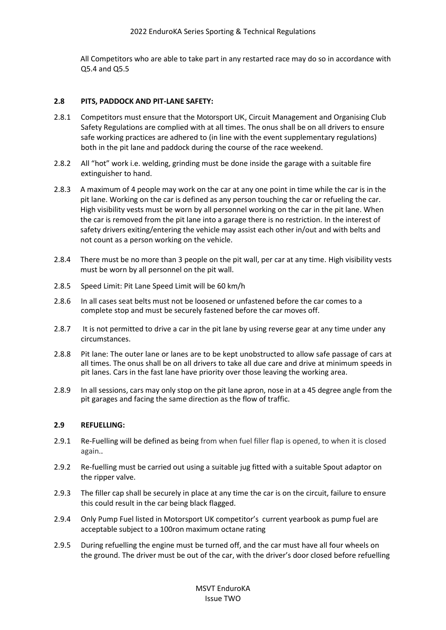All Competitors who are able to take part in any restarted race may do so in accordance with Q5.4 and Q5.5

## **2.8 PITS, PADDOCK AND PIT-LANE SAFETY:**

- 2.8.1 Competitors must ensure that the Motorsport UK, Circuit Management and Organising Club Safety Regulations are complied with at all times. The onus shall be on all drivers to ensure safe working practices are adhered to (in line with the event supplementary regulations) both in the pit lane and paddock during the course of the race weekend.
- 2.8.2 All "hot" work i.e. welding, grinding must be done inside the garage with a suitable fire extinguisher to hand.
- 2.8.3 A maximum of 4 people may work on the car at any one point in time while the car is in the pit lane. Working on the car is defined as any person touching the car or refueling the car. High visibility vests must be worn by all personnel working on the car in the pit lane. When the car is removed from the pit lane into a garage there is no restriction. In the interest of safety drivers exiting/entering the vehicle may assist each other in/out and with belts and not count as a person working on the vehicle.
- 2.8.4 There must be no more than 3 people on the pit wall, per car at any time. High visibility vests must be worn by all personnel on the pit wall.
- 2.8.5 Speed Limit: Pit Lane Speed Limit will be 60 km/h
- 2.8.6 In all cases seat belts must not be loosened or unfastened before the car comes to a complete stop and must be securely fastened before the car moves off.
- 2.8.7 It is not permitted to drive a car in the pit lane by using reverse gear at any time under any circumstances.
- 2.8.8 Pit lane: The outer lane or lanes are to be kept unobstructed to allow safe passage of cars at all times. The onus shall be on all drivers to take all due care and drive at minimum speeds in pit lanes. Cars in the fast lane have priority over those leaving the working area.
- 2.8.9 In all sessions, cars may only stop on the pit lane apron, nose in at a 45 degree angle from the pit garages and facing the same direction as the flow of traffic.

## **2.9 REFUELLING:**

- 2.9.1 Re-Fuelling will be defined as being from when fuel filler flap is opened, to when it is closed again..
- 2.9.2 Re-fuelling must be carried out using a suitable jug fitted with a suitable Spout adaptor on the ripper valve.
- 2.9.3 The filler cap shall be securely in place at any time the car is on the circuit, failure to ensure this could result in the car being black flagged.
- 2.9.4 Only Pump Fuel listed in Motorsport UK competitor's current yearbook as pump fuel are acceptable subject to a 100ron maximum octane rating
- 2.9.5 During refuelling the engine must be turned off, and the car must have all four wheels on the ground. The driver must be out of the car, with the driver's door closed before refuelling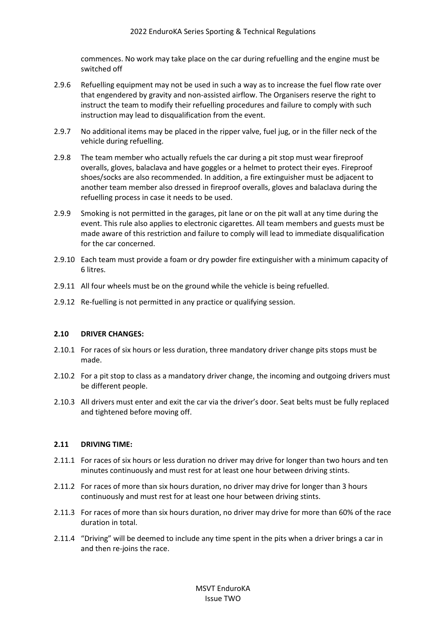commences. No work may take place on the car during refuelling and the engine must be switched off

- 2.9.6 Refuelling equipment may not be used in such a way as to increase the fuel flow rate over that engendered by gravity and non-assisted airflow. The Organisers reserve the right to instruct the team to modify their refuelling procedures and failure to comply with such instruction may lead to disqualification from the event.
- 2.9.7 No additional items may be placed in the ripper valve, fuel jug, or in the filler neck of the vehicle during refuelling.
- 2.9.8 The team member who actually refuels the car during a pit stop must wear fireproof overalls, gloves, balaclava and have goggles or a helmet to protect their eyes. Fireproof shoes/socks are also recommended. In addition, a fire extinguisher must be adjacent to another team member also dressed in fireproof overalls, gloves and balaclava during the refuelling process in case it needs to be used.
- 2.9.9 Smoking is not permitted in the garages, pit lane or on the pit wall at any time during the event. This rule also applies to electronic cigarettes. All team members and guests must be made aware of this restriction and failure to comply will lead to immediate disqualification for the car concerned.
- 2.9.10 Each team must provide a foam or dry powder fire extinguisher with a minimum capacity of 6 litres.
- 2.9.11 All four wheels must be on the ground while the vehicle is being refuelled.
- 2.9.12 Re-fuelling is not permitted in any practice or qualifying session.

#### **2.10 DRIVER CHANGES:**

- 2.10.1 For races of six hours or less duration, three mandatory driver change pits stops must be made.
- 2.10.2 For a pit stop to class as a mandatory driver change, the incoming and outgoing drivers must be different people.
- 2.10.3 All drivers must enter and exit the car via the driver's door. Seat belts must be fully replaced and tightened before moving off.

#### **2.11 DRIVING TIME:**

- 2.11.1 For races of six hours or less duration no driver may drive for longer than two hours and ten minutes continuously and must rest for at least one hour between driving stints.
- 2.11.2 For races of more than six hours duration, no driver may drive for longer than 3 hours continuously and must rest for at least one hour between driving stints.
- 2.11.3 For races of more than six hours duration, no driver may drive for more than 60% of the race duration in total.
- 2.11.4 "Driving" will be deemed to include any time spent in the pits when a driver brings a car in and then re-joins the race.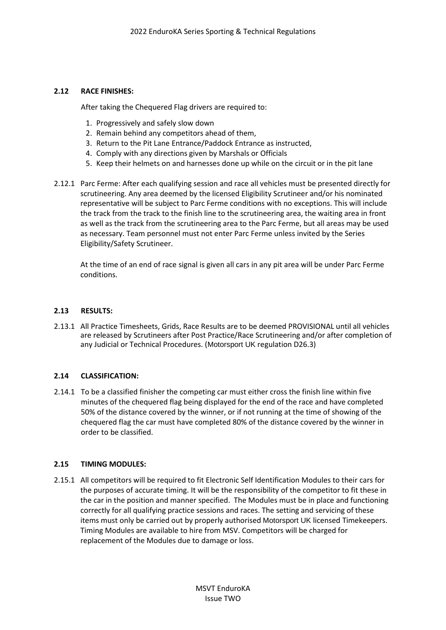## **2.12 RACE FINISHES:**

After taking the Chequered Flag drivers are required to:

- 1. Progressively and safely slow down
- 2. Remain behind any competitors ahead of them,
- 3. Return to the Pit Lane Entrance/Paddock Entrance as instructed,
- 4. Comply with any directions given by Marshals or Officials
- 5. Keep their helmets on and harnesses done up while on the circuit or in the pit lane
- 2.12.1 Parc Ferme: After each qualifying session and race all vehicles must be presented directly for scrutineering. Any area deemed by the licensed Eligibility Scrutineer and/or his nominated representative will be subject to Parc Ferme conditions with no exceptions. This will include the track from the track to the finish line to the scrutineering area, the waiting area in front as well as the track from the scrutineering area to the Parc Ferme, but all areas may be used as necessary. Team personnel must not enter Parc Ferme unless invited by the Series Eligibility/Safety Scrutineer.

At the time of an end of race signal is given all cars in any pit area will be under Parc Ferme conditions.

## **2.13 RESULTS:**

2.13.1 All Practice Timesheets, Grids, Race Results are to be deemed PROVISIONAL until all vehicles are released by Scrutineers after Post Practice/Race Scrutineering and/or after completion of any Judicial or Technical Procedures. (Motorsport UK regulation D26.3)

# **2.14 CLASSIFICATION:**

2.14.1 To be a classified finisher the competing car must either cross the finish line within five minutes of the chequered flag being displayed for the end of the race and have completed 50% of the distance covered by the winner, or if not running at the time of showing of the chequered flag the car must have completed 80% of the distance covered by the winner in order to be classified.

## **2.15 TIMING MODULES:**

2.15.1 All competitors will be required to fit Electronic Self Identification Modules to their cars for the purposes of accurate timing. It will be the responsibility of the competitor to fit these in the car in the position and manner specified. The Modules must be in place and functioning correctly for all qualifying practice sessions and races. The setting and servicing of these items must only be carried out by properly authorised Motorsport UK licensed Timekeepers. Timing Modules are available to hire from MSV. Competitors will be charged for replacement of the Modules due to damage or loss.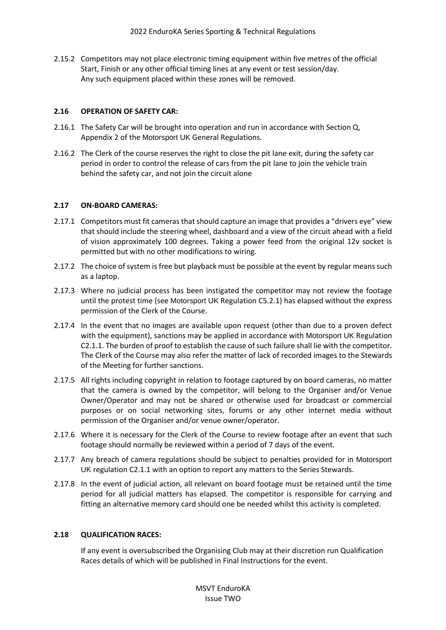2.15.2 Competitors may not place electronic timing equipment within five metres of the official Start, Finish or any other official timing lines at any event or test session/day. Any such equipment placed within these zones will be removed.

## **2.16 OPERATION OF SAFETY CAR:**

- 2.16.1 The Safety Car will be brought into operation and run in accordance with Section Q, Appendix 2 of the Motorsport UK General Regulations.
- 2.16.2 The Clerk of the course reserves the right to close the pit lane exit, during the safety car period in order to control the release of cars from the pit lane to join the vehicle train behind the safety car, and not join the circuit alone

# **2.17 ON-BOARD CAMERAS:**

- 2.17.1 Competitors must fit cameras that should capture an image that provides a "drivers eye" view that should include the steering wheel, dashboard and a view of the circuit ahead with a field of vision approximately 100 degrees. Taking a power feed from the original 12v socket is permitted but with no other modifications to wiring.
- 2.17.2 The choice of system is free but playback must be possible at the event by regular means such as a laptop.
- 2.17.3 Where no judicial process has been instigated the competitor may not review the footage until the protest time (see Motorsport UK Regulation C5.2.1) has elapsed without the express permission of the Clerk of the Course.
- 2.17.4 In the event that no images are available upon request (other than due to a proven defect with the equipment), sanctions may be applied in accordance with Motorsport UK Regulation C2.1.1. The burden of proof to establish the cause of such failure shall lie with the competitor. The Clerk of the Course may also refer the matter of lack of recorded images to the Stewards of the Meeting for further sanctions.
- 2.17.5 All rights including copyright in relation to footage captured by on board cameras, no matter that the camera is owned by the competitor, will belong to the Organiser and/or Venue Owner/Operator and may not be shared or otherwise used for broadcast or commercial purposes or on social networking sites, forums or any other internet media without permission of the Organiser and/or venue owner/operator.
- 2.17.6 Where it is necessary for the Clerk of the Course to review footage after an event that such footage should normally be reviewed within a period of 7 days of the event.
- 2.17.7 Any breach of camera regulations should be subject to penalties provided for in Motorsport UK regulation C2.1.1 with an option to report any matters to the Series Stewards.
- 2.17.8 In the event of judicial action, all relevant on board footage must be retained until the time period for all judicial matters has elapsed. The competitor is responsible for carrying and fitting an alternative memory card should one be needed whilst this activity is completed.

## **2.18 QUALIFICATION RACES:**

If any event is oversubscribed the Organising Club may at their discretion run Qualification Races details of which will be published in Final Instructions for the event.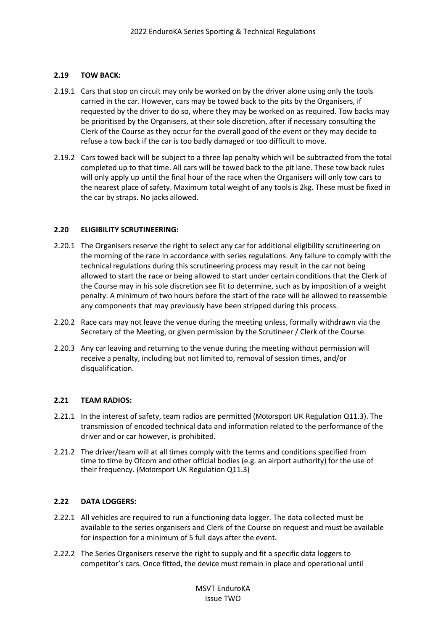# **2.19 TOW BACK:**

- 2.19.1 Cars that stop on circuit may only be worked on by the driver alone using only the tools carried in the car. However, cars may be towed back to the pits by the Organisers, if requested by the driver to do so, where they may be worked on as required. Tow backs may be prioritised by the Organisers, at their sole discretion, after if necessary consulting the Clerk of the Course as they occur for the overall good of the event or they may decide to refuse a tow back if the car is too badly damaged or too difficult to move.
- 2.19.2 Cars towed back will be subject to a three lap penalty which will be subtracted from the total completed up to that time. All cars will be towed back to the pit lane. These tow back rules will only apply up until the final hour of the race when the Organisers will only tow cars to the nearest place of safety. Maximum total weight of any tools is 2kg. These must be fixed in the car by straps. No jacks allowed.

# **2.20 ELIGIBILITY SCRUTINEERING:**

- 2.20.1 The Organisers reserve the right to select any car for additional eligibility scrutineering on the morning of the race in accordance with series regulations. Any failure to comply with the technical regulations during this scrutineering process may result in the car not being allowed to start the race or being allowed to start under certain conditions that the Clerk of the Course may in his sole discretion see fit to determine, such as by imposition of a weight penalty. A minimum of two hours before the start of the race will be allowed to reassemble any components that may previously have been stripped during this process.
- 2.20.2 Race cars may not leave the venue during the meeting unless, formally withdrawn via the Secretary of the Meeting, or given permission by the Scrutineer / Clerk of the Course.
- 2.20.3 Any car leaving and returning to the venue during the meeting without permission will receive a penalty, including but not limited to, removal of session times, and/or disqualification.

## **2.21 TEAM RADIOS:**

- 2.21.1 In the interest of safety, team radios are permitted (Motorsport UK Regulation Q11.3). The transmission of encoded technical data and information related to the performance of the driver and or car however, is prohibited.
- 2.21.2 The driver/team will at all times comply with the terms and conditions specified from time to time by Ofcom and other official bodies (e.g. an airport authority) for the use of their frequency. (Motorsport UK Regulation Q11.3)

## **2.22 DATA LOGGERS:**

- 2.22.1 All vehicles are required to run a functioning data logger. The data collected must be available to the series organisers and Clerk of the Course on request and must be available for inspection for a minimum of 5 full days after the event.
- 2.22.2 The Series Organisers reserve the right to supply and fit a specific data loggers to competitor's cars. Once fitted, the device must remain in place and operational until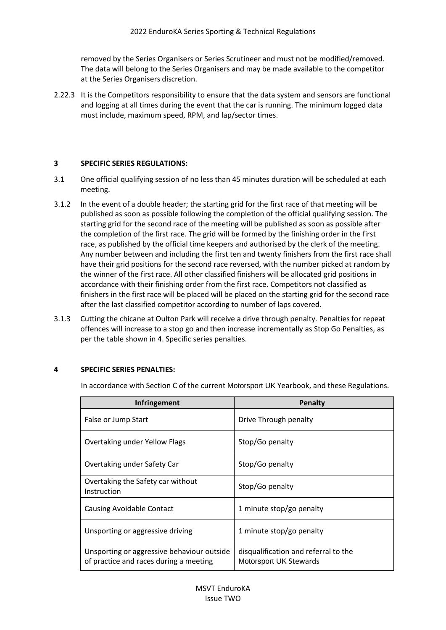removed by the Series Organisers or Series Scrutineer and must not be modified/removed. The data will belong to the Series Organisers and may be made available to the competitor at the Series Organisers discretion.

2.22.3 It is the Competitors responsibility to ensure that the data system and sensors are functional and logging at all times during the event that the car is running. The minimum logged data must include, maximum speed, RPM, and lap/sector times.

## **3 SPECIFIC SERIES REGULATIONS:**

- 3.1 One official qualifying session of no less than 45 minutes duration will be scheduled at each meeting.
- 3.1.2 In the event of a double header; the starting grid for the first race of that meeting will be published as soon as possible following the completion of the official qualifying session. The starting grid for the second race of the meeting will be published as soon as possible after the completion of the first race. The grid will be formed by the finishing order in the first race, as published by the official time keepers and authorised by the clerk of the meeting. Any number between and including the first ten and twenty finishers from the first race shall have their grid positions for the second race reversed, with the number picked at random by the winner of the first race. All other classified finishers will be allocated grid positions in accordance with their finishing order from the first race. Competitors not classified as finishers in the first race will be placed will be placed on the starting grid for the second race after the last classified competitor according to number of laps covered.
- 3.1.3 Cutting the chicane at Oulton Park will receive a drive through penalty. Penalties for repeat offences will increase to a stop go and then increase incrementally as Stop Go Penalties, as per the table shown in 4. Specific series penalties.

## **4 SPECIFIC SERIES PENALTIES:**

In accordance with Section C of the current Motorsport UK Yearbook, and these Regulations.

| Infringement                                                                         | <b>Penalty</b>                                                 |
|--------------------------------------------------------------------------------------|----------------------------------------------------------------|
| False or Jump Start                                                                  | Drive Through penalty                                          |
| Overtaking under Yellow Flags                                                        | Stop/Go penalty                                                |
| Overtaking under Safety Car                                                          | Stop/Go penalty                                                |
| Overtaking the Safety car without<br>Instruction                                     | Stop/Go penalty                                                |
| <b>Causing Avoidable Contact</b>                                                     | 1 minute stop/go penalty                                       |
| Unsporting or aggressive driving                                                     | 1 minute stop/go penalty                                       |
| Unsporting or aggressive behaviour outside<br>of practice and races during a meeting | disqualification and referral to the<br>Motorsport UK Stewards |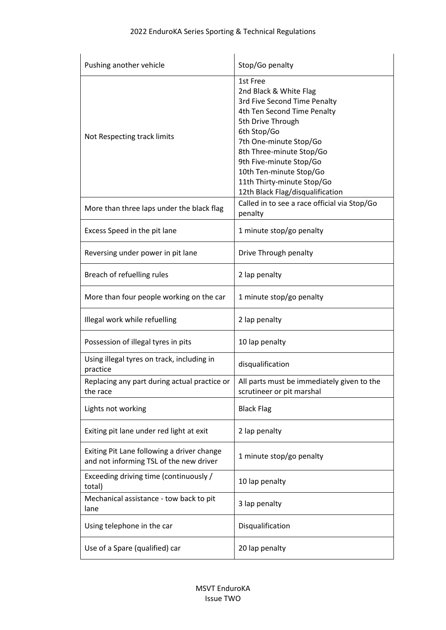| Pushing another vehicle                                                               | Stop/Go penalty                                                                                                                                                                                                                                                                                                     |
|---------------------------------------------------------------------------------------|---------------------------------------------------------------------------------------------------------------------------------------------------------------------------------------------------------------------------------------------------------------------------------------------------------------------|
| Not Respecting track limits                                                           | 1st Free<br>2nd Black & White Flag<br>3rd Five Second Time Penalty<br>4th Ten Second Time Penalty<br>5th Drive Through<br>6th Stop/Go<br>7th One-minute Stop/Go<br>8th Three-minute Stop/Go<br>9th Five-minute Stop/Go<br>10th Ten-minute Stop/Go<br>11th Thirty-minute Stop/Go<br>12th Black Flag/disqualification |
| More than three laps under the black flag                                             | Called in to see a race official via Stop/Go<br>penalty                                                                                                                                                                                                                                                             |
| Excess Speed in the pit lane                                                          | 1 minute stop/go penalty                                                                                                                                                                                                                                                                                            |
| Reversing under power in pit lane                                                     | Drive Through penalty                                                                                                                                                                                                                                                                                               |
| Breach of refuelling rules                                                            | 2 lap penalty                                                                                                                                                                                                                                                                                                       |
| More than four people working on the car                                              | 1 minute stop/go penalty                                                                                                                                                                                                                                                                                            |
| Illegal work while refuelling                                                         | 2 lap penalty                                                                                                                                                                                                                                                                                                       |
| Possession of illegal tyres in pits                                                   | 10 lap penalty                                                                                                                                                                                                                                                                                                      |
| Using illegal tyres on track, including in<br>practice                                | disqualification                                                                                                                                                                                                                                                                                                    |
| Replacing any part during actual practice or<br>the race                              | All parts must be immediately given to the<br>scrutineer or pit marshal                                                                                                                                                                                                                                             |
| Lights not working                                                                    | <b>Black Flag</b>                                                                                                                                                                                                                                                                                                   |
| Exiting pit lane under red light at exit                                              | 2 lap penalty                                                                                                                                                                                                                                                                                                       |
| Exiting Pit Lane following a driver change<br>and not informing TSL of the new driver | 1 minute stop/go penalty                                                                                                                                                                                                                                                                                            |
| Exceeding driving time (continuously /<br>total)                                      | 10 lap penalty                                                                                                                                                                                                                                                                                                      |
| Mechanical assistance - tow back to pit<br>lane                                       | 3 lap penalty                                                                                                                                                                                                                                                                                                       |
| Using telephone in the car                                                            | Disqualification                                                                                                                                                                                                                                                                                                    |
| Use of a Spare (qualified) car                                                        | 20 lap penalty                                                                                                                                                                                                                                                                                                      |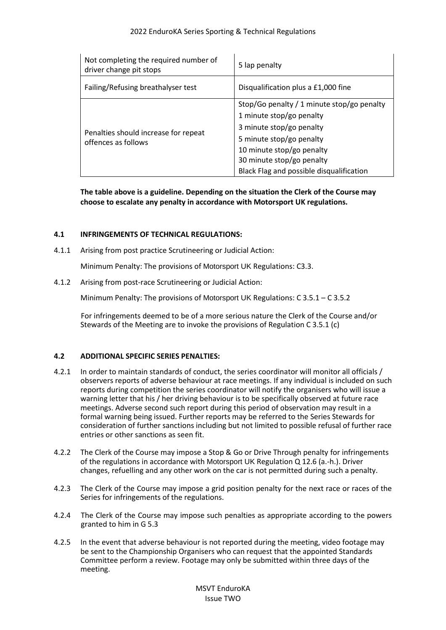| Not completing the required number of<br>driver change pit stops | 5 lap penalty                              |
|------------------------------------------------------------------|--------------------------------------------|
| Failing/Refusing breathalyser test                               | Disqualification plus a £1,000 fine        |
| Penalties should increase for repeat<br>offences as follows      | Stop/Go penalty / 1 minute stop/go penalty |
|                                                                  | 1 minute stop/go penalty                   |
|                                                                  | 3 minute stop/go penalty                   |
|                                                                  | 5 minute stop/go penalty                   |
|                                                                  | 10 minute stop/go penalty                  |
|                                                                  | 30 minute stop/go penalty                  |
|                                                                  | Black Flag and possible disqualification   |

**The table above is a guideline. Depending on the situation the Clerk of the Course may choose to escalate any penalty in accordance with Motorsport UK regulations.** 

# **4.1 INFRINGEMENTS OF TECHNICAL REGULATIONS:**

4.1.1 Arising from post practice Scrutineering or Judicial Action:

Minimum Penalty: The provisions of Motorsport UK Regulations: C3.3.

4.1.2 Arising from post-race Scrutineering or Judicial Action:

Minimum Penalty: The provisions of Motorsport UK Regulations: C 3.5.1 – C 3.5.2

For infringements deemed to be of a more serious nature the Clerk of the Course and/or Stewards of the Meeting are to invoke the provisions of Regulation C 3.5.1 (c)

# **4.2 ADDITIONAL SPECIFIC SERIES PENALTIES:**

- 4.2.1 In order to maintain standards of conduct, the series coordinator will monitor all officials / observers reports of adverse behaviour at race meetings. If any individual is included on such reports during competition the series coordinator will notify the organisers who will issue a warning letter that his / her driving behaviour is to be specifically observed at future race meetings. Adverse second such report during this period of observation may result in a formal warning being issued. Further reports may be referred to the Series Stewards for consideration of further sanctions including but not limited to possible refusal of further race entries or other sanctions as seen fit.
- 4.2.2 The Clerk of the Course may impose a Stop & Go or Drive Through penalty for infringements of the regulations in accordance with Motorsport UK Regulation Q 12.6 (a.-h.). Driver changes, refuelling and any other work on the car is not permitted during such a penalty.
- 4.2.3 The Clerk of the Course may impose a grid position penalty for the next race or races of the Series for infringements of the regulations.
- 4.2.4 The Clerk of the Course may impose such penalties as appropriate according to the powers granted to him in G 5.3
- 4.2.5 In the event that adverse behaviour is not reported during the meeting, video footage may be sent to the Championship Organisers who can request that the appointed Standards Committee perform a review. Footage may only be submitted within three days of the meeting.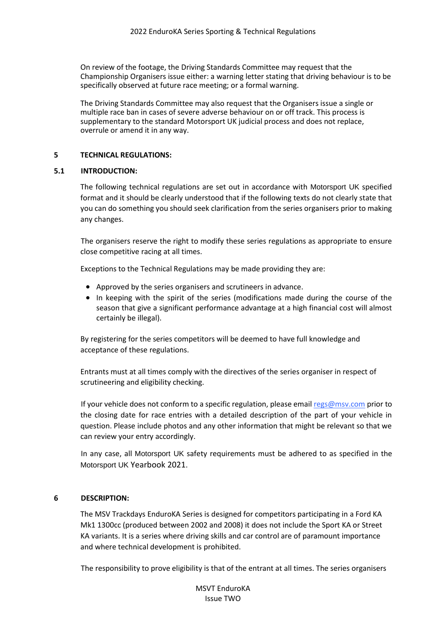On review of the footage, the Driving Standards Committee may request that the Championship Organisers issue either: a warning letter stating that driving behaviour is to be specifically observed at future race meeting; or a formal warning.

The Driving Standards Committee may also request that the Organisers issue a single or multiple race ban in cases of severe adverse behaviour on or off track. This process is supplementary to the standard Motorsport UK judicial process and does not replace, overrule or amend it in any way.

## **5 TECHNICAL REGULATIONS:**

## **5.1 INTRODUCTION:**

The following technical regulations are set out in accordance with Motorsport UK specified format and it should be clearly understood that if the following texts do not clearly state that you can do something you should seek clarification from the series organisers prior to making any changes.

The organisers reserve the right to modify these series regulations as appropriate to ensure close competitive racing at all times.

Exceptions to the Technical Regulations may be made providing they are:

- Approved by the series organisers and scrutineers in advance.
- In keeping with the spirit of the series (modifications made during the course of the season that give a significant performance advantage at a high financial cost will almost certainly be illegal).

By registering for the series competitors will be deemed to have full knowledge and acceptance of these regulations.

Entrants must at all times comply with the directives of the series organiser in respect of scrutineering and eligibility checking.

If your vehicle does not conform to a specific regulation, please email regs@msv.com prior to the closing date for race entries with a detailed description of the part of your vehicle in question. Please include photos and any other information that might be relevant so that we can review your entry accordingly.

In any case, all Motorsport UK safety requirements must be adhered to as specified in the Motorsport UK Yearbook 2021.

## **6 DESCRIPTION:**

The MSV Trackdays EnduroKA Series is designed for competitors participating in a Ford KA Mk1 1300cc (produced between 2002 and 2008) it does not include the Sport KA or Street KA variants. It is a series where driving skills and car control are of paramount importance and where technical development is prohibited.

The responsibility to prove eligibility is that of the entrant at all times. The series organisers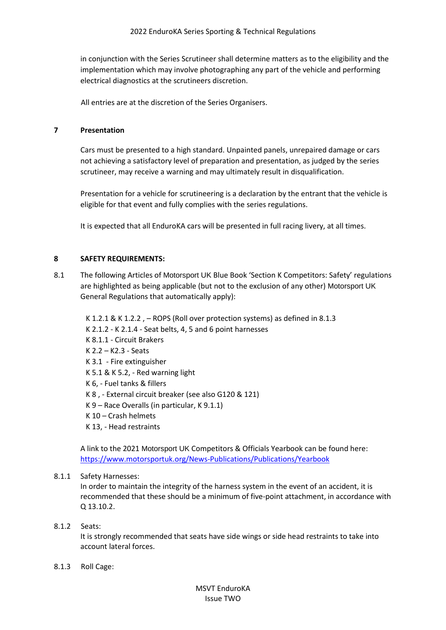in conjunction with the Series Scrutineer shall determine matters as to the eligibility and the implementation which may involve photographing any part of the vehicle and performing electrical diagnostics at the scrutineers discretion.

All entries are at the discretion of the Series Organisers.

## **7 Presentation**

Cars must be presented to a high standard. Unpainted panels, unrepaired damage or cars not achieving a satisfactory level of preparation and presentation, as judged by the series scrutineer, may receive a warning and may ultimately result in disqualification.

Presentation for a vehicle for scrutineering is a declaration by the entrant that the vehicle is eligible for that event and fully complies with the series regulations.

It is expected that all EnduroKA cars will be presented in full racing livery, at all times.

# **8 SAFETY REQUIREMENTS:**

8.1 The following Articles of Motorsport UK Blue Book 'Section K Competitors: Safety' regulations are highlighted as being applicable (but not to the exclusion of any other) Motorsport UK General Regulations that automatically apply):

K 1.2.1 & K 1.2.2 , – ROPS (Roll over protection systems) as defined in 8.1.3 K 2.1.2 - K 2.1.4 - Seat belts, 4, 5 and 6 point harnesses K 8.1.1 - Circuit Brakers K 2.2 – K2.3 - Seats K 3.1 - Fire extinguisher K 5.1 & K 5.2, - Red warning light K 6, - Fuel tanks & fillers K 8 , - External circuit breaker (see also G120 & 121) K 9 – Race Overalls (in particular, K 9.1.1) K 10 – Crash helmets K 13, - Head restraints

A link to the 2021 Motorsport UK Competitors & Officials Yearbook can be found here: <https://www.motorsportuk.org/News-Publications/Publications/Yearbook>

## 8.1.1 Safety Harnesses:

In order to maintain the integrity of the harness system in the event of an accident, it is recommended that these should be a minimum of five-point attachment, in accordance with Q 13.10.2.

## 8.1.2 Seats:

It is strongly recommended that seats have side wings or side head restraints to take into account lateral forces.

## 8.1.3 Roll Cage: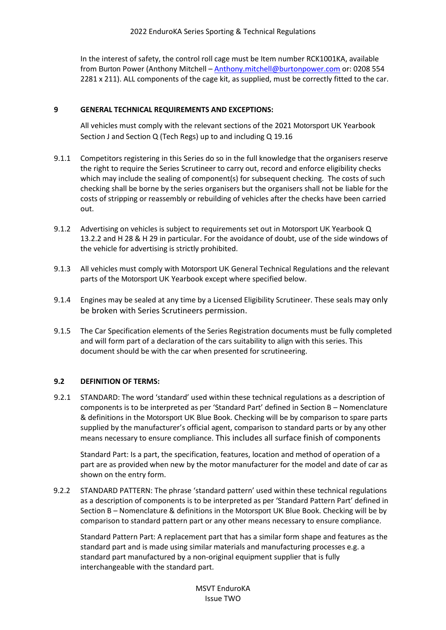In the interest of safety, the control roll cage must be Item number RCK1001KA, available from Burton Power (Anthony Mitchell - [Anthony.mitchell@burtonpower.com](mailto:Anthony.mitchell@burtonpower.com) or: 0208 554 2281 x 211). ALL components of the cage kit, as supplied, must be correctly fitted to the car.

# **9 GENERAL TECHNICAL REQUIREMENTS AND EXCEPTIONS:**

All vehicles must comply with the relevant sections of the 2021 Motorsport UK Yearbook Section J and Section Q (Tech Regs) up to and including Q 19.16

- 9.1.1 Competitors registering in this Series do so in the full knowledge that the organisers reserve the right to require the Series Scrutineer to carry out, record and enforce eligibility checks which may include the sealing of component(s) for subsequent checking. The costs of such checking shall be borne by the series organisers but the organisers shall not be liable for the costs of stripping or reassembly or rebuilding of vehicles after the checks have been carried out.
- 9.1.2 Advertising on vehicles is subject to requirements set out in Motorsport UK Yearbook Q 13.2.2 and H 28 & H 29 in particular. For the avoidance of doubt, use of the side windows of the vehicle for advertising is strictly prohibited.
- 9.1.3 All vehicles must comply with Motorsport UK General Technical Regulations and the relevant parts of the Motorsport UK Yearbook except where specified below.
- 9.1.4 Engines may be sealed at any time by a Licensed Eligibility Scrutineer. These seals may only be broken with Series Scrutineers permission.
- 9.1.5 The Car Specification elements of the Series Registration documents must be fully completed and will form part of a declaration of the cars suitability to align with this series. This document should be with the car when presented for scrutineering.

## **9.2 DEFINITION OF TERMS:**

9.2.1 STANDARD: The word 'standard' used within these technical regulations as a description of components is to be interpreted as per 'Standard Part' defined in Section B – Nomenclature & definitions in the Motorsport UK Blue Book. Checking will be by comparison to spare parts supplied by the manufacturer's official agent, comparison to standard parts or by any other means necessary to ensure compliance. This includes all surface finish of components

Standard Part: Is a part, the specification, features, location and method of operation of a part are as provided when new by the motor manufacturer for the model and date of car as shown on the entry form.

9.2.2 STANDARD PATTERN: The phrase 'standard pattern' used within these technical regulations as a description of components is to be interpreted as per 'Standard Pattern Part' defined in Section B – Nomenclature & definitions in the Motorsport UK Blue Book. Checking will be by comparison to standard pattern part or any other means necessary to ensure compliance.

Standard Pattern Part: A replacement part that has a similar form shape and features as the standard part and is made using similar materials and manufacturing processes e.g. a standard part manufactured by a non-original equipment supplier that is fully interchangeable with the standard part.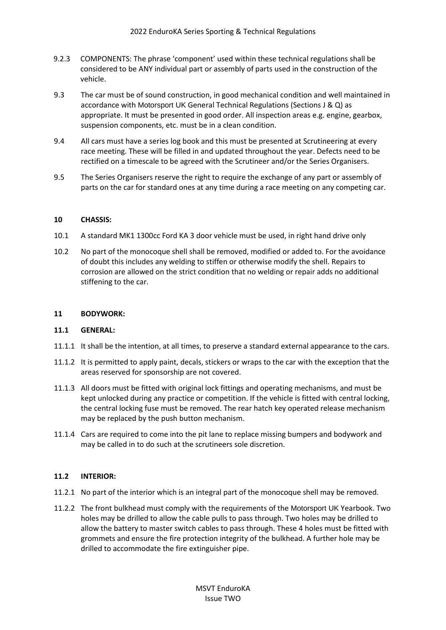- 9.2.3 COMPONENTS: The phrase 'component' used within these technical regulations shall be considered to be ANY individual part or assembly of parts used in the construction of the vehicle.
- 9.3 The car must be of sound construction, in good mechanical condition and well maintained in accordance with Motorsport UK General Technical Regulations (Sections J & Q) as appropriate. It must be presented in good order. All inspection areas e.g. engine, gearbox, suspension components, etc. must be in a clean condition.
- 9.4 All cars must have a series log book and this must be presented at Scrutineering at every race meeting. These will be filled in and updated throughout the year. Defects need to be rectified on a timescale to be agreed with the Scrutineer and/or the Series Organisers.
- 9.5 The Series Organisers reserve the right to require the exchange of any part or assembly of parts on the car for standard ones at any time during a race meeting on any competing car.

## **10 CHASSIS:**

- 10.1 A standard MK1 1300cc Ford KA 3 door vehicle must be used, in right hand drive only
- 10.2 No part of the monocoque shell shall be removed, modified or added to. For the avoidance of doubt this includes any welding to stiffen or otherwise modify the shell. Repairs to corrosion are allowed on the strict condition that no welding or repair adds no additional stiffening to the car.

#### **11 BODYWORK:**

## **11.1 GENERAL:**

- 11.1.1 It shall be the intention, at all times, to preserve a standard external appearance to the cars.
- 11.1.2 It is permitted to apply paint, decals, stickers or wraps to the car with the exception that the areas reserved for sponsorship are not covered.
- 11.1.3 All doors must be fitted with original lock fittings and operating mechanisms, and must be kept unlocked during any practice or competition. If the vehicle is fitted with central locking, the central locking fuse must be removed. The rear hatch key operated release mechanism may be replaced by the push button mechanism.
- 11.1.4 Cars are required to come into the pit lane to replace missing bumpers and bodywork and may be called in to do such at the scrutineers sole discretion.

## **11.2 INTERIOR:**

- 11.2.1 No part of the interior which is an integral part of the monocoque shell may be removed.
- 11.2.2 The front bulkhead must comply with the requirements of the Motorsport UK Yearbook. Two holes may be drilled to allow the cable pulls to pass through. Two holes may be drilled to allow the battery to master switch cables to pass through. These 4 holes must be fitted with grommets and ensure the fire protection integrity of the bulkhead. A further hole may be drilled to accommodate the fire extinguisher pipe.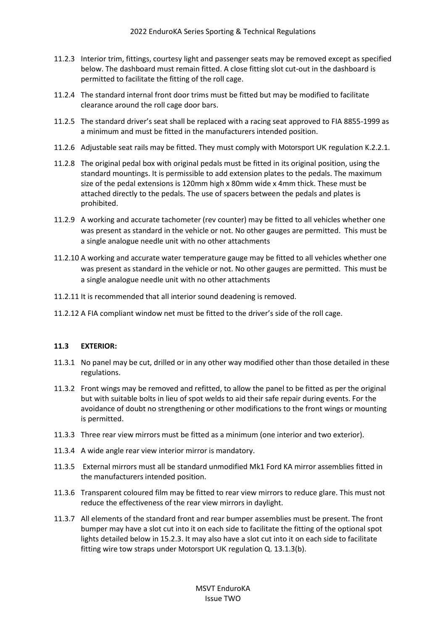- 11.2.3 Interior trim, fittings, courtesy light and passenger seats may be removed except as specified below. The dashboard must remain fitted. A close fitting slot cut-out in the dashboard is permitted to facilitate the fitting of the roll cage.
- 11.2.4 The standard internal front door trims must be fitted but may be modified to facilitate clearance around the roll cage door bars.
- 11.2.5 The standard driver's seat shall be replaced with a racing seat approved to FIA 8855-1999 as a minimum and must be fitted in the manufacturers intended position.
- 11.2.6 Adjustable seat rails may be fitted. They must comply with Motorsport UK regulation K.2.2.1.
- 11.2.8 The original pedal box with original pedals must be fitted in its original position, using the standard mountings. It is permissible to add extension plates to the pedals. The maximum size of the pedal extensions is 120mm high x 80mm wide x 4mm thick. These must be attached directly to the pedals. The use of spacers between the pedals and plates is prohibited.
- 11.2.9 A working and accurate tachometer (rev counter) may be fitted to all vehicles whether one was present as standard in the vehicle or not. No other gauges are permitted. This must be a single analogue needle unit with no other attachments
- 11.2.10 A working and accurate water temperature gauge may be fitted to all vehicles whether one was present as standard in the vehicle or not. No other gauges are permitted. This must be a single analogue needle unit with no other attachments
- 11.2.11 It is recommended that all interior sound deadening is removed.
- 11.2.12 A FIA compliant window net must be fitted to the driver's side of the roll cage.

# **11.3 EXTERIOR:**

- 11.3.1 No panel may be cut, drilled or in any other way modified other than those detailed in these regulations.
- 11.3.2 Front wings may be removed and refitted, to allow the panel to be fitted as per the original but with suitable bolts in lieu of spot welds to aid their safe repair during events. For the avoidance of doubt no strengthening or other modifications to the front wings or mounting is permitted.
- 11.3.3 Three rear view mirrors must be fitted as a minimum (one interior and two exterior).
- 11.3.4 A wide angle rear view interior mirror is mandatory.
- 11.3.5 External mirrors must all be standard unmodified Mk1 Ford KA mirror assemblies fitted in the manufacturers intended position.
- 11.3.6 Transparent coloured film may be fitted to rear view mirrors to reduce glare. This must not reduce the effectiveness of the rear view mirrors in daylight.
- 11.3.7 All elements of the standard front and rear bumper assemblies must be present. The front bumper may have a slot cut into it on each side to facilitate the fitting of the optional spot lights detailed below in 15.2.3. It may also have a slot cut into it on each side to facilitate fitting wire tow straps under Motorsport UK regulation Q. 13.1.3(b).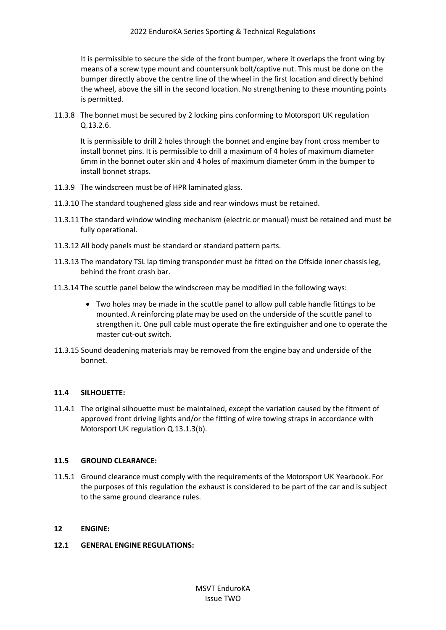It is permissible to secure the side of the front bumper, where it overlaps the front wing by means of a screw type mount and countersunk bolt/captive nut. This must be done on the bumper directly above the centre line of the wheel in the first location and directly behind the wheel, above the sill in the second location. No strengthening to these mounting points is permitted.

11.3.8 The bonnet must be secured by 2 locking pins conforming to Motorsport UK regulation Q.13.2.6.

It is permissible to drill 2 holes through the bonnet and engine bay front cross member to install bonnet pins. It is permissible to drill a maximum of 4 holes of maximum diameter 6mm in the bonnet outer skin and 4 holes of maximum diameter 6mm in the bumper to install bonnet straps.

- 11.3.9 The windscreen must be of HPR laminated glass.
- 11.3.10 The standard toughened glass side and rear windows must be retained.
- 11.3.11 The standard window winding mechanism (electric or manual) must be retained and must be fully operational.
- 11.3.12 All body panels must be standard or standard pattern parts.
- 11.3.13 The mandatory TSL lap timing transponder must be fitted on the Offside inner chassis leg, behind the front crash bar.
- 11.3.14 The scuttle panel below the windscreen may be modified in the following ways:
	- Two holes may be made in the scuttle panel to allow pull cable handle fittings to be mounted. A reinforcing plate may be used on the underside of the scuttle panel to strengthen it. One pull cable must operate the fire extinguisher and one to operate the master cut-out switch.
- 11.3.15 Sound deadening materials may be removed from the engine bay and underside of the bonnet.

## **11.4 SILHOUETTE:**

11.4.1 The original silhouette must be maintained, except the variation caused by the fitment of approved front driving lights and/or the fitting of wire towing straps in accordance with Motorsport UK regulation Q.13.1.3(b).

## **11.5 GROUND CLEARANCE:**

11.5.1 Ground clearance must comply with the requirements of the Motorsport UK Yearbook. For the purposes of this regulation the exhaust is considered to be part of the car and is subject to the same ground clearance rules.

## **12 ENGINE:**

## **12.1 GENERAL ENGINE REGULATIONS:**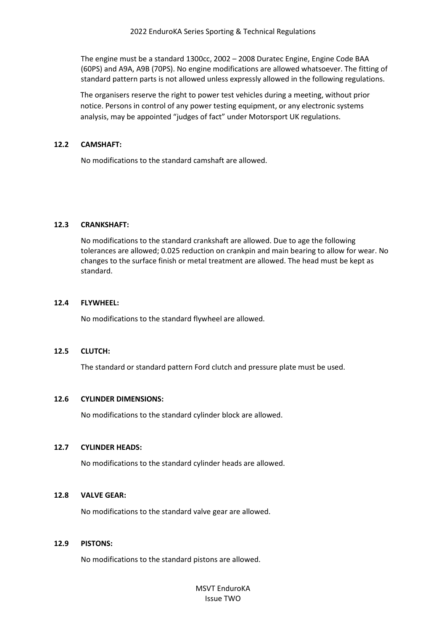The engine must be a standard 1300cc, 2002 – 2008 Duratec Engine, Engine Code BAA (60PS) and A9A, A9B (70PS). No engine modifications are allowed whatsoever. The fitting of standard pattern parts is not allowed unless expressly allowed in the following regulations.

The organisers reserve the right to power test vehicles during a meeting, without prior notice. Persons in control of any power testing equipment, or any electronic systems analysis, may be appointed "judges of fact" under Motorsport UK regulations.

#### **12.2 CAMSHAFT:**

No modifications to the standard camshaft are allowed.

#### **12.3 CRANKSHAFT:**

No modifications to the standard crankshaft are allowed. Due to age the following tolerances are allowed; 0.025 reduction on crankpin and main bearing to allow for wear. No changes to the surface finish or metal treatment are allowed. The head must be kept as standard.

#### **12.4 FLYWHEEL:**

No modifications to the standard flywheel are allowed.

## **12.5 CLUTCH:**

The standard or standard pattern Ford clutch and pressure plate must be used.

#### **12.6 CYLINDER DIMENSIONS:**

No modifications to the standard cylinder block are allowed.

#### **12.7 CYLINDER HEADS:**

No modifications to the standard cylinder heads are allowed.

## **12.8 VALVE GEAR:**

No modifications to the standard valve gear are allowed.

#### **12.9 PISTONS:**

No modifications to the standard pistons are allowed.

MSVT EnduroKA Issue TWO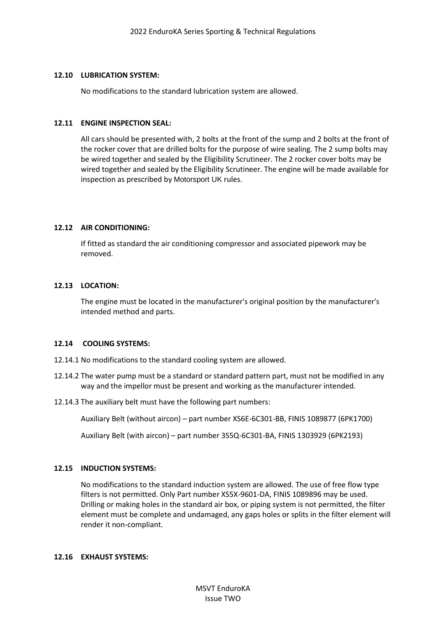#### **12.10 LUBRICATION SYSTEM:**

No modifications to the standard lubrication system are allowed.

#### **12.11 ENGINE INSPECTION SEAL:**

All cars should be presented with, 2 bolts at the front of the sump and 2 bolts at the front of the rocker cover that are drilled bolts for the purpose of wire sealing. The 2 sump bolts may be wired together and sealed by the Eligibility Scrutineer. The 2 rocker cover bolts may be wired together and sealed by the Eligibility Scrutineer. The engine will be made available for inspection as prescribed by Motorsport UK rules.

## **12.12 AIR CONDITIONING:**

If fitted as standard the air conditioning compressor and associated pipework may be removed.

## **12.13 LOCATION:**

The engine must be located in the manufacturer's original position by the manufacturer's intended method and parts.

## **12.14 COOLING SYSTEMS:**

12.14.1 No modifications to the standard cooling system are allowed.

- 12.14.2 The water pump must be a standard or standard pattern part, must not be modified in any way and the impellor must be present and working as the manufacturer intended.
- 12.14.3 The auxiliary belt must have the following part numbers:

Auxiliary Belt (without aircon) – part number XS6E-6C301-BB, FINIS 1089877 (6PK1700)

Auxiliary Belt (with aircon) – part number 3S5Q-6C301-BA, FINIS 1303929 (6PK2193)

## **12.15 INDUCTION SYSTEMS:**

No modifications to the standard induction system are allowed. The use of free flow type filters is not permitted. Only Part number XS5X-9601-DA, FINIS 1089896 may be used. Drilling or making holes in the standard air box, or piping system is not permitted, the filter element must be complete and undamaged, any gaps holes or splits in the filter element will render it non-compliant.

#### **12.16 EXHAUST SYSTEMS:**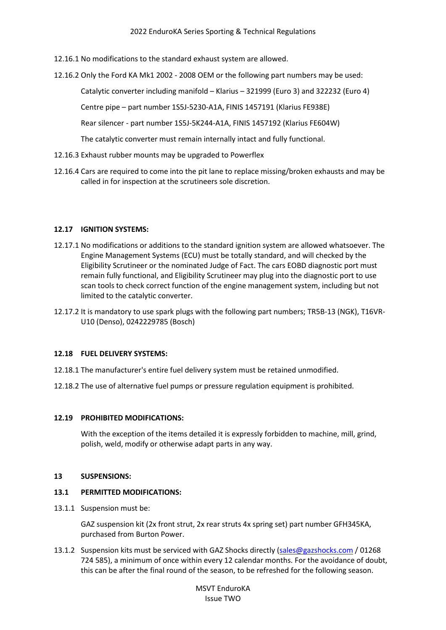12.16.1 No modifications to the standard exhaust system are allowed.

12.16.2 Only the Ford KA Mk1 2002 - 2008 OEM or the following part numbers may be used:

Catalytic converter including manifold – Klarius – 321999 (Euro 3) and 322232 (Euro 4)

Centre pipe – part number 1S5J-5230-A1A, FINIS 1457191 (Klarius FE938E)

Rear silencer - part number 1S5J-5K244-A1A, FINIS 1457192 (Klarius FE604W)

The catalytic converter must remain internally intact and fully functional.

- 12.16.3 Exhaust rubber mounts may be upgraded to Powerflex
- 12.16.4 Cars are required to come into the pit lane to replace missing/broken exhausts and may be called in for inspection at the scrutineers sole discretion.

#### **12.17 IGNITION SYSTEMS:**

- 12.17.1 No modifications or additions to the standard ignition system are allowed whatsoever. The Engine Management Systems (ECU) must be totally standard, and will checked by the Eligibility Scrutineer or the nominated Judge of Fact. The cars EOBD diagnostic port must remain fully functional, and Eligibility Scrutineer may plug into the diagnostic port to use scan tools to check correct function of the engine management system, including but not limited to the catalytic converter.
- 12.17.2 It is mandatory to use spark plugs with the following part numbers; TR5B-13 (NGK), T16VR-U10 (Denso), 0242229785 (Bosch)

#### **12.18 FUEL DELIVERY SYSTEMS:**

- 12.18.1 The manufacturer's entire fuel delivery system must be retained unmodified.
- 12.18.2 The use of alternative fuel pumps or pressure regulation equipment is prohibited.

#### **12.19 PROHIBITED MODIFICATIONS:**

With the exception of the items detailed it is expressly forbidden to machine, mill, grind, polish, weld, modify or otherwise adapt parts in any way.

#### **13 SUSPENSIONS:**

#### **13.1 PERMITTED MODIFICATIONS:**

13.1.1 Suspension must be:

GAZ suspension kit (2x front strut, 2x rear struts 4x spring set) part number GFH345KA, purchased from Burton Power.

13.1.2 Suspension kits must be serviced with GAZ Shocks directly [\(sales@gazshocks.com](mailto:sales@gazshocks.com) / 01268 724 585), a minimum of once within every 12 calendar months. For the avoidance of doubt, this can be after the final round of the season, to be refreshed for the following season.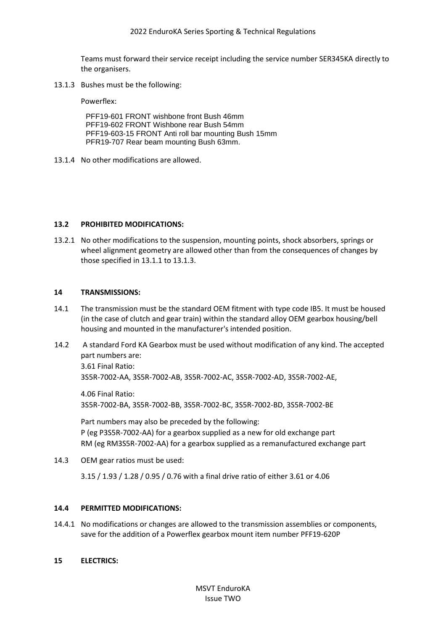Teams must forward their service receipt including the service number SER345KA directly to the organisers.

13.1.3 Bushes must be the following:

Powerflex:

PFF19-601 FRONT wishbone front Bush 46mm PFF19-602 FRONT Wishbone rear Bush 54mm PFF19-603-15 FRONT Anti roll bar mounting Bush 15mm PFR19-707 Rear beam mounting Bush 63mm.

13.1.4 No other modifications are allowed.

#### **13.2 PROHIBITED MODIFICATIONS:**

13.2.1 No other modifications to the suspension, mounting points, shock absorbers, springs or wheel alignment geometry are allowed other than from the consequences of changes by those specified in 13.1.1 to 13.1.3.

## **14 TRANSMISSIONS:**

- 14.1 The transmission must be the standard OEM fitment with type code IB5. It must be housed (in the case of clutch and gear train) within the standard alloy OEM gearbox housing/bell housing and mounted in the manufacturer's intended position.
- 14.2 A standard Ford KA Gearbox must be used without modification of any kind. The accepted part numbers are: 3.61 Final Ratio:

3S5R-7002-AA, 3S5R-7002-AB, 3S5R-7002-AC, 3S5R-7002-AD, 3S5R-7002-AE,

4.06 Final Ratio: 3S5R-7002-BA, 3S5R-7002-BB, 3S5R-7002-BC, 3S5R-7002-BD, 3S5R-7002-BE

Part numbers may also be preceded by the following: P (eg P3S5R-7002-AA) for a gearbox supplied as a new for old exchange part RM (eg RM3S5R-7002-AA) for a gearbox supplied as a remanufactured exchange part

14.3 OEM gear ratios must be used:

3.15 / 1.93 / 1.28 / 0.95 / 0.76 with a final drive ratio of either 3.61 or 4.06

## **14.4 PERMITTED MODIFICATIONS:**

14.4.1 No modifications or changes are allowed to the transmission assemblies or components, save for the addition of a Powerflex gearbox mount item number PFF19-620P

## **15 ELECTRICS:**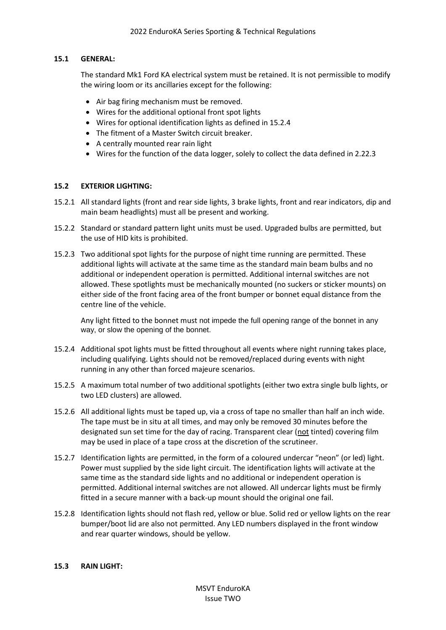## **15.1 GENERAL:**

The standard Mk1 Ford KA electrical system must be retained. It is not permissible to modify the wiring loom or its ancillaries except for the following:

- Air bag firing mechanism must be removed.
- Wires for the additional optional front spot lights
- Wires for optional identification lights as defined in 15.2.4
- The fitment of a Master Switch circuit breaker.
- A centrally mounted rear rain light
- Wires for the function of the data logger, solely to collect the data defined in 2.22.3

# **15.2 EXTERIOR LIGHTING:**

- 15.2.1 All standard lights (front and rear side lights, 3 brake lights, front and rear indicators, dip and main beam headlights) must all be present and working.
- 15.2.2 Standard or standard pattern light units must be used. Upgraded bulbs are permitted, but the use of HID kits is prohibited.
- 15.2.3 Two additional spot lights for the purpose of night time running are permitted. These additional lights will activate at the same time as the standard main beam bulbs and no additional or independent operation is permitted. Additional internal switches are not allowed. These spotlights must be mechanically mounted (no suckers or sticker mounts) on either side of the front facing area of the front bumper or bonnet equal distance from the centre line of the vehicle.

Any light fitted to the bonnet must not impede the full opening range of the bonnet in any way, or slow the opening of the bonnet.

- 15.2.4 Additional spot lights must be fitted throughout all events where night running takes place, including qualifying. Lights should not be removed/replaced during events with night running in any other than forced majeure scenarios.
- 15.2.5 A maximum total number of two additional spotlights (either two extra single bulb lights, or two LED clusters) are allowed.
- 15.2.6 All additional lights must be taped up, via a cross of tape no smaller than half an inch wide. The tape must be in situ at all times, and may only be removed 30 minutes before the designated sun set time for the day of racing. Transparent clear (not tinted) covering film may be used in place of a tape cross at the discretion of the scrutineer.
- 15.2.7 Identification lights are permitted, in the form of a coloured undercar "neon" (or led) light. Power must supplied by the side light circuit. The identification lights will activate at the same time as the standard side lights and no additional or independent operation is permitted. Additional internal switches are not allowed. All undercar lights must be firmly fitted in a secure manner with a back-up mount should the original one fail.
- 15.2.8 Identification lights should not flash red, yellow or blue. Solid red or yellow lights on the rear bumper/boot lid are also not permitted. Any LED numbers displayed in the front window and rear quarter windows, should be yellow.

## **15.3 RAIN LIGHT:**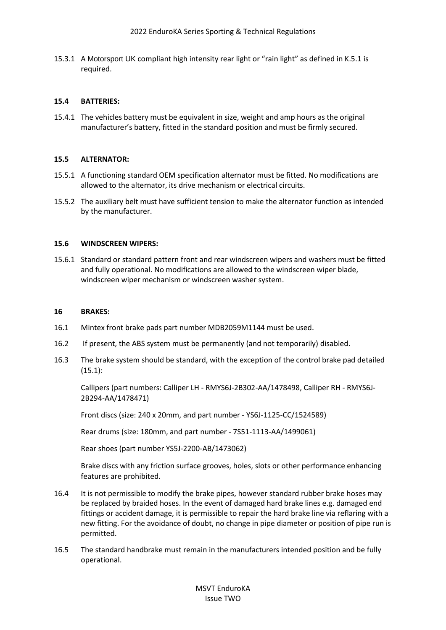15.3.1 A Motorsport UK compliant high intensity rear light or "rain light" as defined in K.5.1 is required.

#### **15.4 BATTERIES:**

15.4.1 The vehicles battery must be equivalent in size, weight and amp hours as the original manufacturer's battery, fitted in the standard position and must be firmly secured.

#### **15.5 ALTERNATOR:**

- 15.5.1 A functioning standard OEM specification alternator must be fitted. No modifications are allowed to the alternator, its drive mechanism or electrical circuits.
- 15.5.2 The auxiliary belt must have sufficient tension to make the alternator function as intended by the manufacturer.

#### **15.6 WINDSCREEN WIPERS:**

15.6.1 Standard or standard pattern front and rear windscreen wipers and washers must be fitted and fully operational. No modifications are allowed to the windscreen wiper blade, windscreen wiper mechanism or windscreen washer system.

#### **16 BRAKES:**

- 16.1 Mintex front brake pads part number MDB2059M1144 must be used.
- 16.2 If present, the ABS system must be permanently (and not temporarily) disabled.
- 16.3 The brake system should be standard, with the exception of the control brake pad detailed (15.1):

Callipers (part numbers: Calliper LH - RMYS6J-2B302-AA/1478498, Calliper RH - RMYS6J-2B294-AA/1478471)

Front discs (size: 240 x 20mm, and part number - YS6J-1125-CC/1524589)

Rear drums (size: 180mm, and part number - 7S51-1113-AA/1499061)

Rear shoes (part number YS5J-2200-AB/1473062)

Brake discs with any friction surface grooves, holes, slots or other performance enhancing features are prohibited.

- 16.4 It is not permissible to modify the brake pipes, however standard rubber brake hoses may be replaced by braided hoses. In the event of damaged hard brake lines e.g. damaged end fittings or accident damage, it is permissible to repair the hard brake line via reflaring with a new fitting. For the avoidance of doubt, no change in pipe diameter or position of pipe run is permitted.
- 16.5 The standard handbrake must remain in the manufacturers intended position and be fully operational.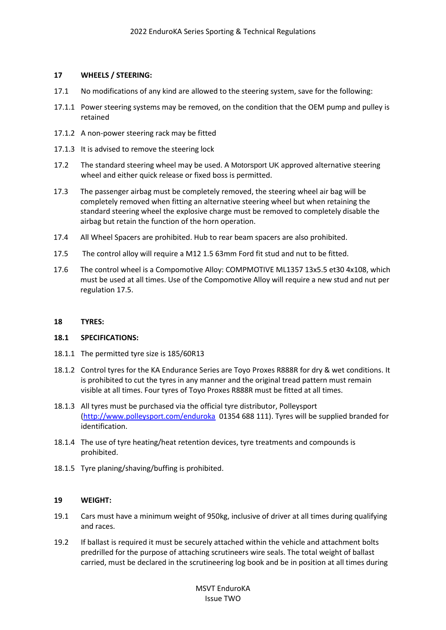## **17 WHEELS / STEERING:**

- 17.1 No modifications of any kind are allowed to the steering system, save for the following:
- 17.1.1 Power steering systems may be removed, on the condition that the OEM pump and pulley is retained
- 17.1.2 A non-power steering rack may be fitted
- 17.1.3 It is advised to remove the steering lock
- 17.2 The standard steering wheel may be used. A Motorsport UK approved alternative steering wheel and either quick release or fixed boss is permitted.
- 17.3 The passenger airbag must be completely removed, the steering wheel air bag will be completely removed when fitting an alternative steering wheel but when retaining the standard steering wheel the explosive charge must be removed to completely disable the airbag but retain the function of the horn operation.
- 17.4 All Wheel Spacers are prohibited. Hub to rear beam spacers are also prohibited.
- 17.5 The control alloy will require a M12 1.5 63mm Ford fit stud and nut to be fitted.
- 17.6 The control wheel is a Compomotive Alloy: COMPMOTIVE ML1357 13x5.5 et30 4x108, which must be used at all times. Use of the Compomotive Alloy will require a new stud and nut per regulation 17.5.

#### **18 TYRES:**

#### **18.1 SPECIFICATIONS:**

- 18.1.1 The permitted tyre size is 185/60R13
- 18.1.2 Control tyres for the KA Endurance Series are Toyo Proxes R888R for dry & wet conditions. It is prohibited to cut the tyres in any manner and the original tread pattern must remain visible at all times. Four tyres of Toyo Proxes R888R must be fitted at all times.
- 18.1.3 All tyres must be purchased via the official tyre distributor, Polleysport [\(http://www.polleysport.com/enduroka](http://www.polleysport.com/enduroka) 01354 688 111). Tyres will be supplied branded for identification.
- 18.1.4 The use of tyre heating/heat retention devices, tyre treatments and compounds is prohibited.
- 18.1.5 Tyre planing/shaving/buffing is prohibited.

## **19 WEIGHT:**

- 19.1 Cars must have a minimum weight of 950kg, inclusive of driver at all times during qualifying and races.
- 19.2 If ballast is required it must be securely attached within the vehicle and attachment bolts predrilled for the purpose of attaching scrutineers wire seals. The total weight of ballast carried, must be declared in the scrutineering log book and be in position at all times during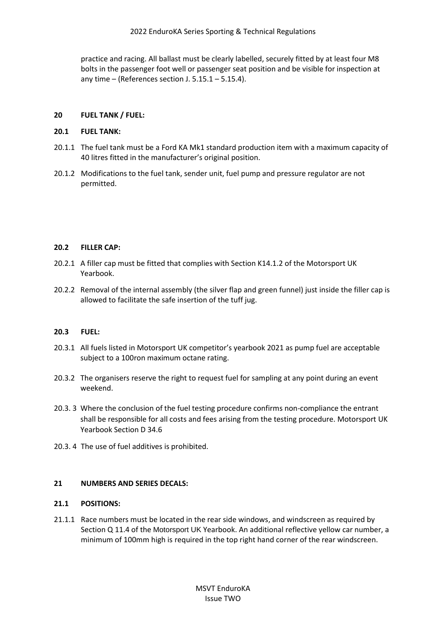practice and racing. All ballast must be clearly labelled, securely fitted by at least four M8 bolts in the passenger foot well or passenger seat position and be visible for inspection at any time – (References section J.  $5.15.1 - 5.15.4$ ).

## **20 FUEL TANK / FUEL:**

## **20.1 FUEL TANK:**

- 20.1.1 The fuel tank must be a Ford KA Mk1 standard production item with a maximum capacity of 40 litres fitted in the manufacturer's original position.
- 20.1.2 Modifications to the fuel tank, sender unit, fuel pump and pressure regulator are not permitted.

## **20.2 FILLER CAP:**

- 20.2.1 A filler cap must be fitted that complies with Section K14.1.2 of the Motorsport UK Yearbook.
- 20.2.2 Removal of the internal assembly (the silver flap and green funnel) just inside the filler cap is allowed to facilitate the safe insertion of the tuff jug.

## **20.3 FUEL:**

- 20.3.1 All fuels listed in Motorsport UK competitor's yearbook 2021 as pump fuel are acceptable subject to a 100ron maximum octane rating.
- 20.3.2 The organisers reserve the right to request fuel for sampling at any point during an event weekend.
- 20.3. 3 Where the conclusion of the fuel testing procedure confirms non-compliance the entrant shall be responsible for all costs and fees arising from the testing procedure. Motorsport UK Yearbook Section D 34.6
- 20.3. 4 The use of fuel additives is prohibited.

## **21 NUMBERS AND SERIES DECALS:**

## **21.1 POSITIONS:**

21.1.1 Race numbers must be located in the rear side windows, and windscreen as required by Section Q 11.4 of the Motorsport UK Yearbook. An additional reflective yellow car number, a minimum of 100mm high is required in the top right hand corner of the rear windscreen.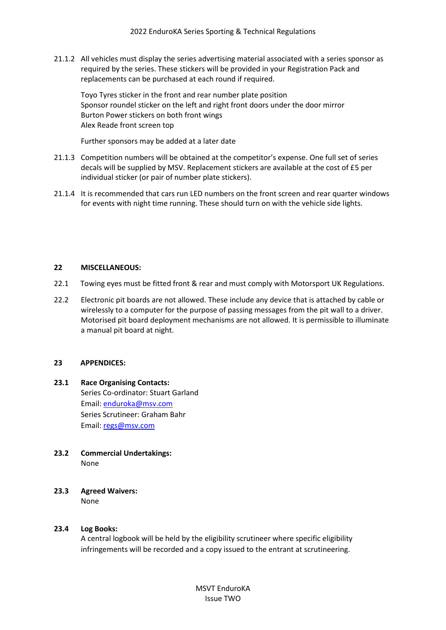21.1.2 All vehicles must display the series advertising material associated with a series sponsor as required by the series. These stickers will be provided in your Registration Pack and replacements can be purchased at each round if required.

Toyo Tyres sticker in the front and rear number plate position Sponsor roundel sticker on the left and right front doors under the door mirror Burton Power stickers on both front wings Alex Reade front screen top

Further sponsors may be added at a later date

- 21.1.3 Competition numbers will be obtained at the competitor's expense. One full set of series decals will be supplied by MSV. Replacement stickers are available at the cost of £5 per individual sticker (or pair of number plate stickers).
- 21.1.4 It is recommended that cars run LED numbers on the front screen and rear quarter windows for events with night time running. These should turn on with the vehicle side lights.

## **22 MISCELLANEOUS:**

- 22.1 Towing eyes must be fitted front & rear and must comply with Motorsport UK Regulations.
- 22.2 Electronic pit boards are not allowed. These include any device that is attached by cable or wirelessly to a computer for the purpose of passing messages from the pit wall to a driver. Motorised pit board deployment mechanisms are not allowed. It is permissible to illuminate a manual pit board at night.

#### **23 APPENDICES:**

- **23.1 Race Organising Contacts:** Series Co-ordinator: Stuart Garland Email: [enduroka@msv.com](mailto:enduroka@msv.com) Series Scrutineer: Graham Bahr Email: [regs@msv.com](mailto:regs@msv.com)
- **23.2 Commercial Undertakings:** None
- **23.3 Agreed Waivers:** None

#### **23.4 Log Books:**

A central logbook will be held by the eligibility scrutineer where specific eligibility infringements will be recorded and a copy issued to the entrant at scrutineering.